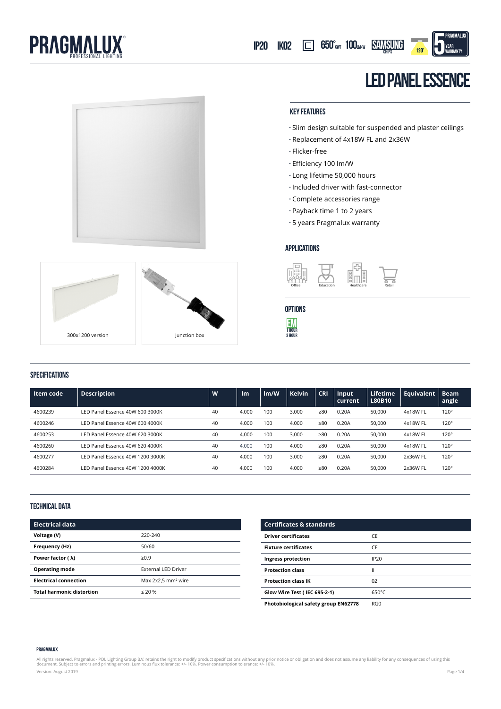



300x1200 version Junction box

 $\sim$ 



- **-** Slim design suitable for suspended and plaster ceilings
- **-** Replacement of 4x18W FL and 2x36W
- **-** Flicker-free
- **-** Efficiency 100 lm/W
- **-** Long lifetime 50,000 hours
- **-** Included driver with fast-connector
- **-** Complete accessories range
- **-** Payback time 1 to 2 years
- **-** 5 years Pragmalux warranty

#### **applications**



# **options**



### **specifications**

| Item code | <b>Description</b>               | W  | Im    | Im/W | <b>Kelvin</b> | <b>CRI</b> | Input<br>current | Lifetime<br>L80B10 | <b>Equivalent</b> | <b>Beam</b><br>angle |
|-----------|----------------------------------|----|-------|------|---------------|------------|------------------|--------------------|-------------------|----------------------|
| 4600239   | LED Panel Essence 40W 600 3000K  | 40 | 4.000 | 100  | 3.000         | >80        | 0.20A            | 50,000             | 4x18W FL          | $120^\circ$          |
| 4600246   | LED Panel Essence 40W 600 4000K  | 40 | 4.000 | 100  | 4.000         | >80        | 0.20A            | 50,000             | 4x18W FL          | $120^\circ$          |
| 4600253   | LED Panel Essence 40W 620 3000K  | 40 | 4.000 | 100  | 3.000         | $\geq 80$  | 0.20A            | 50,000             | 4x18W FL          | $120^\circ$          |
| 4600260   | LED Panel Essence 40W 620 4000K  | 40 | 4,000 | 100  | 4.000         | $\geq 80$  | 0.20A            | 50,000             | 4x18W FL          | $120^\circ$          |
| 4600277   | LED Panel Essence 40W 1200 3000K | 40 | 4,000 | 100  | 3.000         | >80        | 0.20A            | 50,000             | 2x36W FL          | $120^\circ$          |
| 4600284   | LED Panel Essence 40W 1200 4000K | 40 | 4,000 | 100  | 4.000         | >80        | 0.20A            | 50.000             | 2x36W FL          | 120°                 |

#### **technical data**

| <b>Electrical data</b>           |                                |
|----------------------------------|--------------------------------|
| Voltage (V)                      | 220-240                        |
| Frequency (Hz)                   | 50/60                          |
| Power factor ( $\lambda$ )       | $\ge 0.9$                      |
| <b>Operating mode</b>            | <b>External LED Driver</b>     |
| <b>Electrical connection</b>     | Max 2x2.5 mm <sup>2</sup> wire |
| <b>Total harmonic distortion</b> | $\leq 20$ %                    |

| <b>Certificates &amp; standards</b>  |                 |
|--------------------------------------|-----------------|
| <b>Driver certificates</b>           | CE              |
| <b>Fixture certificates</b>          | <b>CF</b>       |
| Ingress protection                   | IP20            |
| <b>Protection class</b>              | н               |
| <b>Protection class IK</b>           | 02              |
| Glow Wire Test (IEC 695-2-1)         | $650^{\circ}$ C |
| Photobiological safety group EN62778 | RG <sub>0</sub> |

#### PRAGMALUX

All rights reserved. Pragmalux - PDL Lighting Group B.V. retains the right to modify product specifications without any prior notice or obligation and does not assume any liability for any consequences of using this<br>docume Version: August 2019 Page 1/4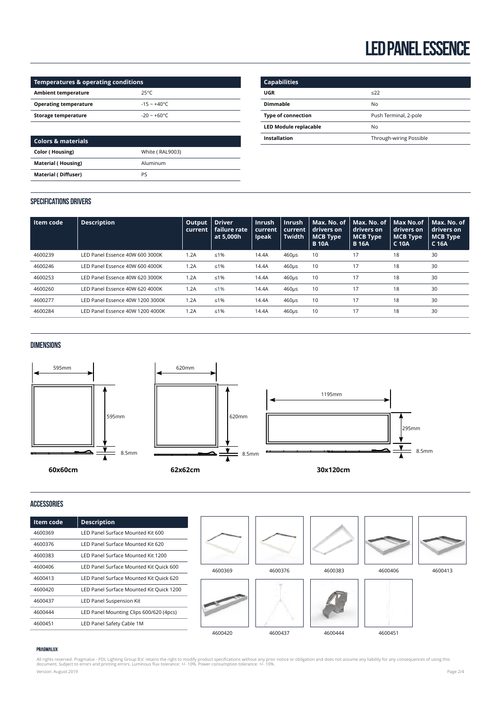| Temperatures & operating conditions |                      |  |  |  |
|-------------------------------------|----------------------|--|--|--|
| <b>Ambient temperature</b>          | $25^{\circ}C$        |  |  |  |
| <b>Operating temperature</b>        | $-15 - +40^{\circ}C$ |  |  |  |
| Storage temperature                 | $-20 - +60$ °C       |  |  |  |

| Colors & materials         |                 |
|----------------------------|-----------------|
| <b>Color (Housing)</b>     | White (RAL9003) |
| <b>Material (Housing)</b>  | Aluminum        |
| <b>Material (Diffuser)</b> | PS              |
|                            |                 |

| <b>Capabilities</b>          |                         |
|------------------------------|-------------------------|
| UGR                          | $\leq$ 22               |
| <b>Dimmable</b>              | No                      |
| <b>Type of connection</b>    | Push Terminal, 2-pole   |
| <b>LED Module replacable</b> | No                      |
| Installation                 | Through-wiring Possible |
|                              |                         |

## **Specifications Drivers**

|      | <b>Driver</b><br>Output<br>failure rate<br>at 5.000h                                                                                                                                                             | <b>Inrush</b><br>current<br><b>Ipeak</b> | <b>Inrush</b><br>current<br><b>Twidth</b> | Max. No. of<br>drivers on<br><b>MCB Type</b><br><b>B</b> 10A | Max. No. of<br>drivers on<br>MCB Type<br><b>B</b> 16A | Max No.of<br>drivers on<br><b>MCB Type</b><br>C 10A | Max. No. of<br>drivers on<br><b>MCB</b> Type<br>C 16A |
|------|------------------------------------------------------------------------------------------------------------------------------------------------------------------------------------------------------------------|------------------------------------------|-------------------------------------------|--------------------------------------------------------------|-------------------------------------------------------|-----------------------------------------------------|-------------------------------------------------------|
| 1.2A | ≤1%                                                                                                                                                                                                              | 14.4A                                    | $460\mu s$                                | 10                                                           | 17                                                    | 18                                                  | 30                                                    |
| 1.2A | ≤1%                                                                                                                                                                                                              | 14.4A                                    | $460\mu s$                                | 10                                                           | 17                                                    | 18                                                  | 30                                                    |
| 1.2A | $≤1%$                                                                                                                                                                                                            | 14.4A                                    | $460\mu s$                                | 10                                                           | 17                                                    | 18                                                  | 30                                                    |
| 1.2A | $≤1%$                                                                                                                                                                                                            | 14.4A                                    | $460\mu s$                                | 10                                                           | 17                                                    | 18                                                  | 30                                                    |
| 1.2A | $≤1%$                                                                                                                                                                                                            | 14.4A                                    | $460\mu s$                                | 10                                                           | 17                                                    | 18                                                  | 30                                                    |
| 1.2A | ≤1%                                                                                                                                                                                                              | 14.4A                                    | $460\mu s$                                | 10                                                           | 17                                                    | 18                                                  | 30                                                    |
|      | LED Panel Essence 40W 600 3000K<br>LED Panel Essence 40W 600 4000K<br>LED Panel Essence 40W 620 3000K<br>LED Panel Essence 40W 620 4000K<br>LED Panel Essence 40W 1200 3000K<br>LED Panel Essence 40W 1200 4000K | current                                  |                                           |                                                              |                                                       |                                                     |                                                       |

## **Dimensions**



## **Accessories**

| Item code | <b>Description</b>                       |         |         |         |         |         |
|-----------|------------------------------------------|---------|---------|---------|---------|---------|
| 4600369   | LED Panel Surface Mounted Kit 600        |         |         |         |         |         |
| 4600376   | LED Panel Surface Mounted Kit 620        |         |         |         |         |         |
| 4600383   | LED Panel Surface Mounted Kit 1200       |         |         |         |         |         |
| 4600406   | LED Panel Surface Mounted Kit Quick 600  | 4600369 | 4600376 | 4600383 | 4600406 | 4600413 |
| 4600413   | LED Panel Surface Mounted Kit Quick 620  |         |         |         |         |         |
| 4600420   | LED Panel Surface Mounted Kit Quick 1200 |         |         |         |         |         |
| 4600437   | LED Panel Suspension Kit                 |         |         |         |         |         |
| 4600444   | LED Panel Mounting Clips 600/620 (4pcs)  |         |         |         |         |         |
| 4600451   | LED Panel Safety Cable 1M                |         |         |         |         |         |
|           |                                          | 4600420 | 4600437 | 4600444 | 4600451 |         |

#### PRAGMALUX

All rights reserved. Pragmalux - PDL Lighting Group B.V. retains the right to modify product specifications without any prior notice or obligation and does not assume any liability for any consequences of using this<br>docume Version: August 2019 Page 2/4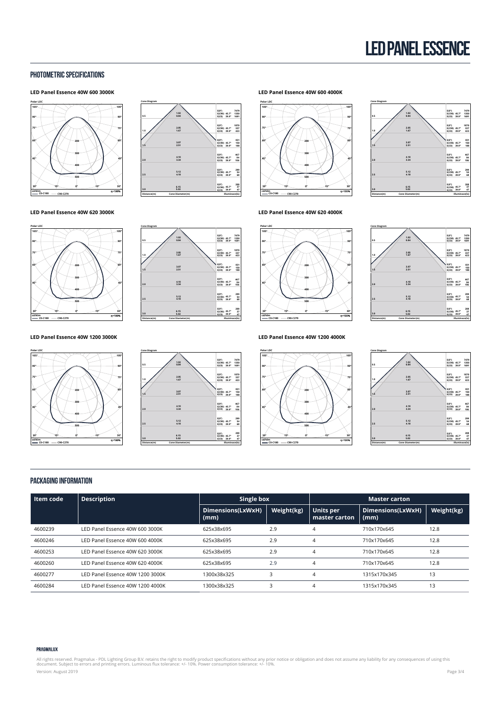### **photometric specifications**

#### **LED Panel Essence 40W 600 3000K**



**0.5**

**Cone Diagram**

**1.0 1.5 2.0 2.5 3.0 Distance(m)**

**0.5**

**Cone Diagram**

**1.0 1.5 2.0 2.5 3.0 Distance(m)** **1.02 0.84 2.05 1.67**

**3.07 2.51 4.10 3.34 5.12 4.18 6.15 5.02**

**1.02 0.84 2.05 1.67**

**3.07 2.51 4.10 3.34 5.12 4.18 6.15 5.02** **E(0°) E(C90) E(C0) 7479 1350 1691 45.7° 39.9° 337 423 45.7° 39.9° E(0°) E(C90) E(C0) 150 188 45.7° 39.9° E(0°) E(C90) E(C0) 84 106 45.7° 39.9° E(0°) E(C90) E(C0) 54 68 45.7° 39.9° E(0°) E(C90) E(C0)**

**208 37 47 45.7° 39.9° E(0°) E(C90) E(C0)**

**E(0°) E(C90) E(C0) 7479 1350 1691 45.7° 39.9° 337 423 45.7° 39.9° E(0°) E(C90) E(C0) 150 188 45.7° 39.9° E(0°) E(C90) E(C0) 84 106 45.7° 39.9° E(0°) E(C90) E(C0) 54 68 45.7° 39.9° E(0°) E(C90) E(C0)**

**208 37 47 45.7° 39.9° E(0°) E(C90) E(C0)**

**Cone Diameter(m) Illuminace(lx)**

**Cone Diameter(m) Illuminace(lx)**

#### **LED Panel Essence 40W 620 3000K**



#### **LED Panel Essence 40W 1200 3000K**





**LED Panel Essence 40W 600 4000K**



| 0.5         | 1.02<br>0.84     | E(0*)<br>E(C90) 45.7*<br>E(CO)<br>39.9°    | 7479<br>1350<br>1691 |
|-------------|------------------|--------------------------------------------|----------------------|
| 1.0         | 2.05<br>1.67     | $E(0^*)$<br>E(C90) 45.7*<br>E(CO)<br>39.9° | 1870<br>337<br>423   |
| 1.5         | 3.07<br>2.51     | $E(0^*)$<br>E(C90) 45.7*<br>E(C0)<br>39.9° | 831<br>150<br>188    |
| 2.0         | 4.10<br>3.34     | E(0*)<br>E(C90) 45.7°<br>E(CO)<br>39.9°    | 467<br>84<br>106     |
| 2.5         | 5.12<br>4.18     | E(0*)<br>E(C90) 45.7*<br>E(CO)<br>39.9°    | 299<br>54<br>68      |
| 3.0         | 6.15<br>5.02     | E(0*)<br>E(C90) 45.7*<br>39.9*<br>E(CO)    | 208<br>37<br>47      |
| Distance(m) | Cone Diameter(m) | Illuminace(b:)                             |                      |

**LED Panel Essence 40W 620 4000K**



**LED Panel Essence 40W 1200 4000K**





| Cone Diagram |                  |                                         |                  |
|--------------|------------------|-----------------------------------------|------------------|
|              |                  | $E(0^*)$                                | 7479             |
|              | 1.02             | E(C90) 45.7°                            | 1350             |
| 0.5          | 0.84             | E(CO)<br>39.9°                          | 1691             |
|              |                  |                                         |                  |
|              | 2.05             | E(0*)                                   | 1870<br>337      |
| 1.0          | 1.67             | E(C90) 45.7*<br>E(C0)<br>39.9°          | 423              |
|              |                  |                                         |                  |
|              |                  | $E(0^*)$                                | 831              |
|              | 3.07             | E(C90) 45.7*                            | 150              |
| 1.5          | 2.51             | E(C0)<br>39.9°                          | 188              |
| 2.0          | 4.10<br>3.34     | E(0*)<br>E(C90) 45.7*<br>E(C0)<br>39.9° | 467<br>84<br>106 |
|              |                  |                                         |                  |
|              |                  | $E(0^*)$                                | 299              |
|              | 5.12             | E(C90) 45.7*                            | 54               |
| 2.5          | 4.18             | 39.9*<br>E(CO)                          | 68               |
|              |                  | $E(0^*)$                                | 208              |
|              | 6.15             | E(C90) 45.7*                            | 37               |
| 3.0          | 5.02             | 39.9*<br>E(C0)                          | 47               |
| Distance(m)  | Cone Diameter(m) | Illuminace(b:)                          |                  |

#### **Packaging information**

| l Item code | <b>Description</b>               | Single box                |            |                            | <b>Master carton</b>      |            |  |  |
|-------------|----------------------------------|---------------------------|------------|----------------------------|---------------------------|------------|--|--|
|             |                                  | Dimensions(LxWxH)<br>(mm) | Weight(kg) | Units per<br>master carton | Dimensions(LxWxH)<br>(mm) | Weight(kg) |  |  |
| 4600239     | LED Panel Essence 40W 600 3000K  | 625x38x695                | 2.9        | 4                          | 710x170x645               | 12.8       |  |  |
| 4600246     | LED Panel Essence 40W 600 4000K  | 625x38x695                | 2.9        | 4                          | 710x170x645               | 12.8       |  |  |
| 4600253     | LED Panel Essence 40W 620 3000K  | 625x38x695                | 2.9        | 4                          | 710x170x645               | 12.8       |  |  |
| 4600260     | LED Panel Essence 40W 620 4000K  | 625x38x695                | 2.9        | 4                          | 710x170x645               | 12.8       |  |  |
| 4600277     | LED Panel Essence 40W 1200 3000K | 1300x38x325               | 3          | 4                          | 1315x170x345              | 13         |  |  |
| 4600284     | LED Panel Essence 40W 1200 4000K | 1300x38x325               | 3          | 4                          | 1315x170x345              | 13         |  |  |

#### PRAGMALUX

All rights reserved. Pragmalux - PDL Lighting Group B.V. retains the right to modify product specifications without any prior notice or obligation and does not assume any liability for any consequences of using this<br>docume Version: August 2019 Page 3/4

# **Cone Diameter(m) Illuminace(lx)**